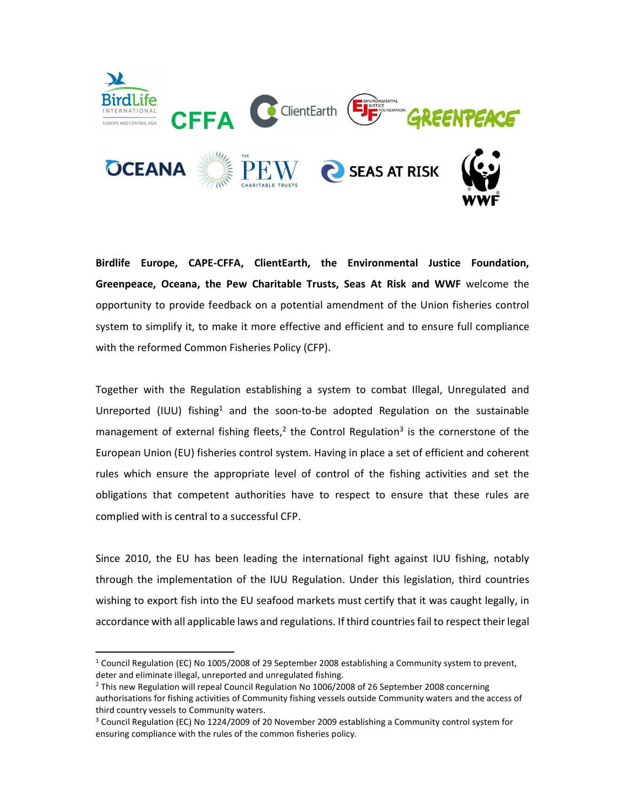

Birdlife Europe, CAPE-CFFA, ClientEarth, the Environmental Justice Foundation, Greenpeace, Oceana, the Pew Charitable Trusts, Seas At Risk and WWF welcome the opportunity to provide feedback on a potential amendment of the Union fisheries control system to simplify it, to make it more effective and efficient and to ensure full compliance with the reformed Common Fisheries Policy (CFP).

Together with the Regulation establishing a system to combat Illegal, Unregulated and Unreported (IUU) fishing<sup>1</sup> and the soon-to-be adopted Regulation on the sustainable management of external fishing fleets,<sup>2</sup> the Control Regulation<sup>3</sup> is the cornerstone of the European Union (EU) fisheries control system. Having in place a set of efficient and coherent rules which ensure the appropriate level of control of the fishing activities and set the obligations that competent authorities have to respect to ensure that these rules are complied with is central to a successful CFP.

Since 2010, the EU has been leading the international fight against IUU fishing, notably through the implementation of the IUU Regulation. Under this legislation, third countries wishing to export fish into the EU seafood markets must certify that it was caught legally, in accordance with all applicable laws and regulations. If third countries fail to respect their legal

<sup>&</sup>lt;sup>1</sup> Council Regulation (EC) No 1005/2008 of 29 September 2008 establishing a Community system to prevent, deter and eliminate illegal, unreported and unregulated fishing.

<sup>&</sup>lt;sup>2</sup> This new Regulation will repeal Council Regulation No 1006/2008 of 26 September 2008 concerning authorisations for fishing activities of Community fishing vessels outside Community waters and the access of third country vessels to Community waters.

<sup>&</sup>lt;sup>3</sup> Council Regulation (EC) No 1224/2009 of 20 November 2009 establishing a Community control system for ensuring compliance with the rules of the common fisheries policy.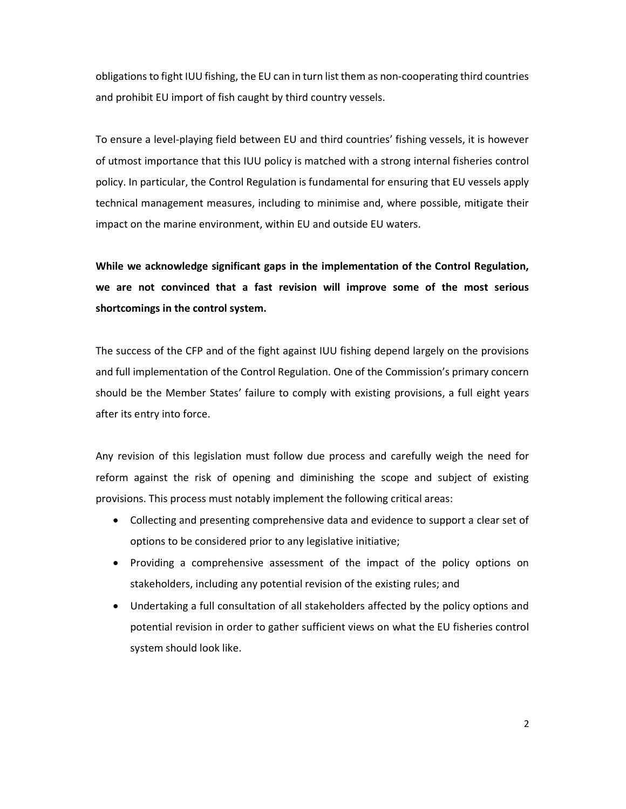obligations to fight IUU fishing, the EU can in turn list them as non-cooperating third countries and prohibit EU import of fish caught by third country vessels.

To ensure a level-playing field between EU and third countries' fishing vessels, it is however of utmost importance that this IUU policy is matched with a strong internal fisheries control policy. In particular, the Control Regulation is fundamental for ensuring that EU vessels apply technical management measures, including to minimise and, where possible, mitigate their impact on the marine environment, within EU and outside EU waters.

While we acknowledge significant gaps in the implementation of the Control Regulation, we are not convinced that a fast revision will improve some of the most serious shortcomings in the control system.

The success of the CFP and of the fight against IUU fishing depend largely on the provisions and full implementation of the Control Regulation. One of the Commission's primary concern should be the Member States' failure to comply with existing provisions, a full eight years after its entry into force.

Any revision of this legislation must follow due process and carefully weigh the need for reform against the risk of opening and diminishing the scope and subject of existing provisions. This process must notably implement the following critical areas:

- Collecting and presenting comprehensive data and evidence to support a clear set of options to be considered prior to any legislative initiative;
- Providing a comprehensive assessment of the impact of the policy options on stakeholders, including any potential revision of the existing rules; and
- Undertaking a full consultation of all stakeholders affected by the policy options and potential revision in order to gather sufficient views on what the EU fisheries control system should look like.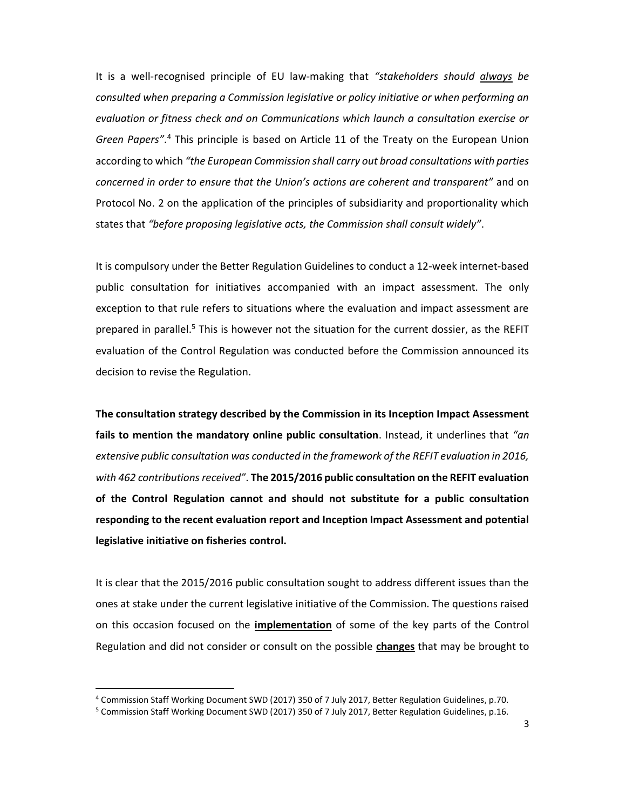It is a well-recognised principle of EU law-making that "stakeholders should always be consulted when preparing a Commission legislative or policy initiative or when performing an evaluation or fitness check and on Communications which launch a consultation exercise or Green Papers".<sup>4</sup> This principle is based on Article 11 of the Treaty on the European Union according to which "the European Commission shall carry out broad consultations with parties concerned in order to ensure that the Union's actions are coherent and transparent" and on Protocol No. 2 on the application of the principles of subsidiarity and proportionality which states that "before proposing legislative acts, the Commission shall consult widely".

It is compulsory under the Better Regulation Guidelines to conduct a 12-week internet-based public consultation for initiatives accompanied with an impact assessment. The only exception to that rule refers to situations where the evaluation and impact assessment are prepared in parallel.<sup>5</sup> This is however not the situation for the current dossier, as the REFIT evaluation of the Control Regulation was conducted before the Commission announced its decision to revise the Regulation.

The consultation strategy described by the Commission in its Inception Impact Assessment fails to mention the mandatory online public consultation. Instead, it underlines that " $an$ extensive public consultation was conducted in the framework of the REFIT evaluation in 2016, with 462 contributions received". The 2015/2016 public consultation on the REFIT evaluation of the Control Regulation cannot and should not substitute for a public consultation responding to the recent evaluation report and Inception Impact Assessment and potential legislative initiative on fisheries control.

It is clear that the 2015/2016 public consultation sought to address different issues than the ones at stake under the current legislative initiative of the Commission. The questions raised on this occasion focused on the **implementation** of some of the key parts of the Control Regulation and did not consider or consult on the possible **changes** that may be brought to

<sup>4</sup> Commission Staff Working Document SWD (2017) 350 of 7 July 2017, Better Regulation Guidelines, p.70.

<sup>&</sup>lt;sup>5</sup> Commission Staff Working Document SWD (2017) 350 of 7 July 2017, Better Regulation Guidelines, p.16.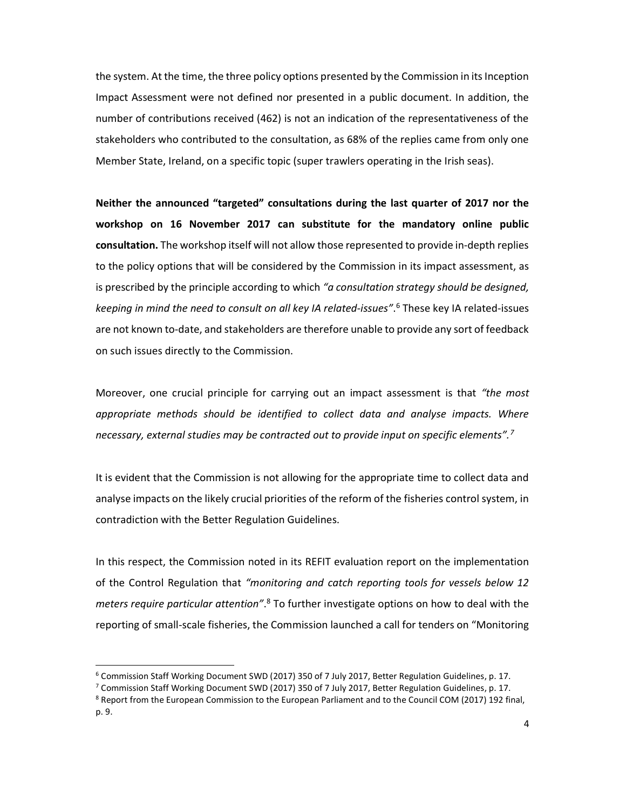the system. At the time, the three policy options presented by the Commission in its Inception Impact Assessment were not defined nor presented in a public document. In addition, the number of contributions received (462) is not an indication of the representativeness of the stakeholders who contributed to the consultation, as 68% of the replies came from only one Member State, Ireland, on a specific topic (super trawlers operating in the Irish seas).

Neither the announced "targeted" consultations during the last quarter of 2017 nor the workshop on 16 November 2017 can substitute for the mandatory online public consultation. The workshop itself will not allow those represented to provide in-depth replies to the policy options that will be considered by the Commission in its impact assessment, as is prescribed by the principle according to which "a consultation strategy should be designed, keeping in mind the need to consult on all key IA related-issues".<sup>6</sup> These key IA related-issues are not known to-date, and stakeholders are therefore unable to provide any sort of feedback on such issues directly to the Commission.

Moreover, one crucial principle for carrying out an impact assessment is that "the most appropriate methods should be identified to collect data and analyse impacts. Where necessary, external studies may be contracted out to provide input on specific elements".<sup>7</sup>

It is evident that the Commission is not allowing for the appropriate time to collect data and analyse impacts on the likely crucial priorities of the reform of the fisheries control system, in contradiction with the Better Regulation Guidelines.

In this respect, the Commission noted in its REFIT evaluation report on the implementation of the Control Regulation that "monitoring and catch reporting tools for vessels below 12 meters require particular attention".<sup>8</sup> To further investigate options on how to deal with the reporting of small-scale fisheries, the Commission launched a call for tenders on "Monitoring

<sup>&</sup>lt;sup>6</sup> Commission Staff Working Document SWD (2017) 350 of 7 July 2017, Better Regulation Guidelines, p. 17.

<sup>7</sup> Commission Staff Working Document SWD (2017) 350 of 7 July 2017, Better Regulation Guidelines, p. 17.

<sup>&</sup>lt;sup>8</sup> Report from the European Commission to the European Parliament and to the Council COM (2017) 192 final, p. 9.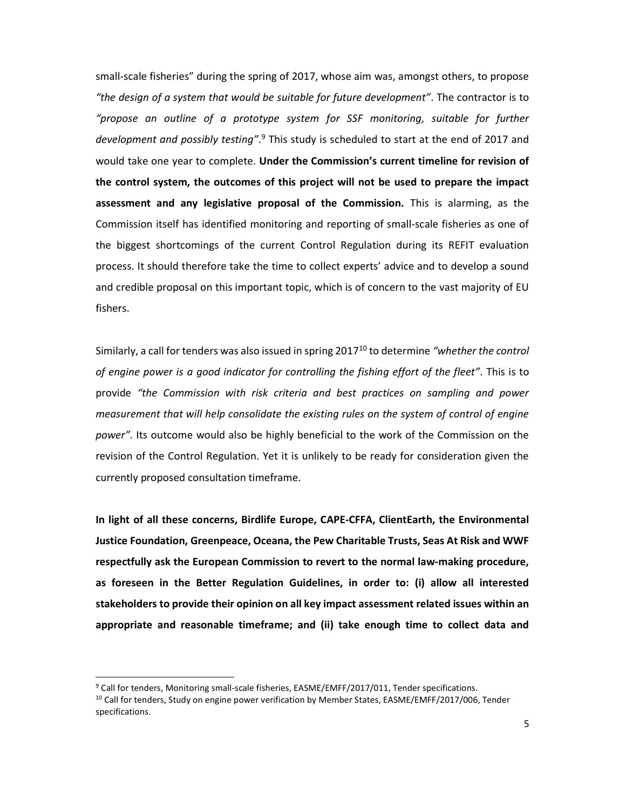small-scale fisheries" during the spring of 2017, whose aim was, amongst others, to propose "the design of a system that would be suitable for future development". The contractor is to "propose an outline of a prototype system for SSF monitoring, suitable for further development and possibly testing".<sup>9</sup> This study is scheduled to start at the end of 2017 and would take one year to complete. Under the Commission's current timeline for revision of the control system, the outcomes of this project will not be used to prepare the impact assessment and any legislative proposal of the Commission. This is alarming, as the Commission itself has identified monitoring and reporting of small-scale fisheries as one of the biggest shortcomings of the current Control Regulation during its REFIT evaluation process. It should therefore take the time to collect experts' advice and to develop a sound and credible proposal on this important topic, which is of concern to the vast majority of EU fishers.

Similarly, a call for tenders was also issued in spring  $2017^{10}$  to determine "whether the control of engine power is a good indicator for controlling the fishing effort of the fleet". This is to provide "the Commission with risk criteria and best practices on sampling and power measurement that will help consolidate the existing rules on the system of control of engine power". Its outcome would also be highly beneficial to the work of the Commission on the revision of the Control Regulation. Yet it is unlikely to be ready for consideration given the currently proposed consultation timeframe.

In light of all these concerns, Birdlife Europe, CAPE-CFFA, ClientEarth, the Environmental Justice Foundation, Greenpeace, Oceana, the Pew Charitable Trusts, Seas At Risk and WWF respectfully ask the European Commission to revert to the normal law-making procedure, as foreseen in the Better Regulation Guidelines, in order to: (i) allow all interested stakeholders to provide their opinion on all key impact assessment related issues within an appropriate and reasonable timeframe; and (ii) take enough time to collect data and

<sup>&</sup>lt;sup>9</sup> Call for tenders, Monitoring small-scale fisheries, EASME/EMFF/2017/011, Tender specifications.

 $10$  Call for tenders, Study on engine power verification by Member States, EASME/EMFF/2017/006, Tender specifications.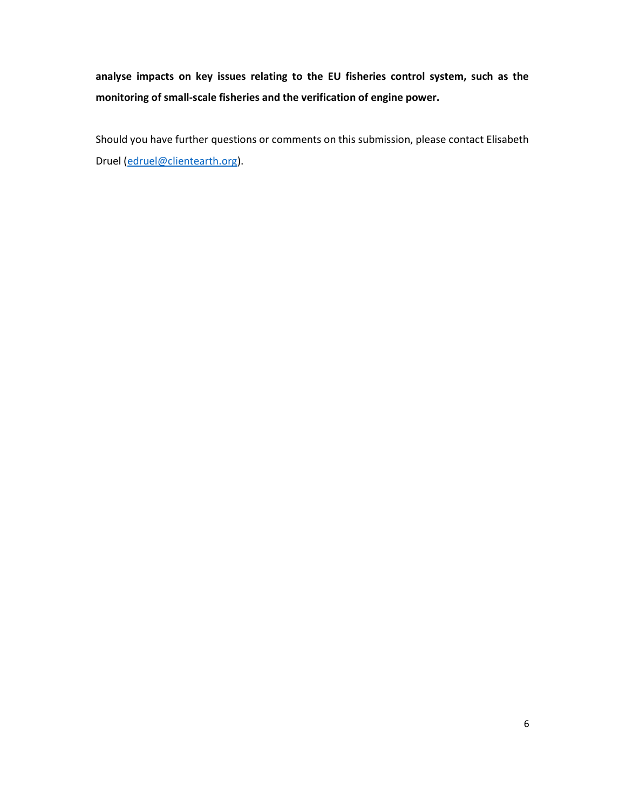analyse impacts on key issues relating to the EU fisheries control system, such as the monitoring of small-scale fisheries and the verification of engine power.

Should you have further questions or comments on this submission, please contact Elisabeth Druel (edruel@clientearth.org).